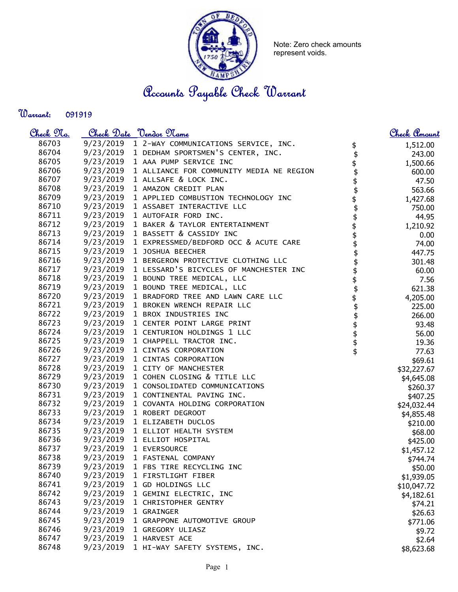

Note: Zero check amounts represent voids.

## Accounts Payable Check Warrant

Warrant: 

| <u>Check No.</u> |           | <u>Check Date "Vendor Name</u>                                                   |                                            | <u>Check Amount</u>    |
|------------------|-----------|----------------------------------------------------------------------------------|--------------------------------------------|------------------------|
| 86703            |           | 9/23/2019 1 2-WAY COMMUNICATIONS SERVICE, INC.                                   |                                            | 1,512.00               |
| 86704            |           | 9/23/2019 1 DEDHAM SPORTSMEN'S CENTER, INC.                                      | $\updownarrow$                             | 243.00                 |
| 86705            |           | 9/23/2019 1 AAA PUMP SERVICE INC                                                 |                                            | 1,500.66               |
| 86706            |           | 9/23/2019 1 ALLIANCE FOR COMMUNITY MEDIA NE REGION                               |                                            | 600.00                 |
| 86707            |           | 9/23/2019 1 ALLSAFE & LOCK INC.                                                  | \$\$\$\$\$\$\$\$\$\$\$\$\$\$\$\$\$\$\$\$\$ | 47.50                  |
| 86708            |           | 9/23/2019 1 AMAZON CREDIT PLAN                                                   |                                            | 563.66                 |
| 86709            |           | 9/23/2019 1 APPLIED COMBUSTION TECHNOLOGY INC                                    |                                            | 1,427.68               |
| 86710            |           | 9/23/2019 1 ASSABET INTERACTIVE LLC                                              |                                            | 750.00                 |
| 86711            |           | 9/23/2019 1 AUTOFAIR FORD INC.                                                   |                                            | 44.95                  |
| 86712            |           | 9/23/2019 1 BAKER & TAYLOR ENTERTAINMENT                                         |                                            | 1,210.92               |
| 86713            |           | 9/23/2019 1 BASSETT & CASSIDY INC                                                |                                            | 0.00                   |
| 86714            |           | 9/23/2019 1 EXPRESSMED/BEDFORD OCC & ACUTE CARE                                  |                                            | 74.00                  |
| 86715            |           | 9/23/2019 1 JOSHUA BEECHER                                                       |                                            | 447.75                 |
| 86716            |           | 9/23/2019 1 BERGERON PROTECTIVE CLOTHING LLC                                     |                                            | 301.48                 |
| 86717            |           | 9/23/2019 1 LESSARD'S BICYCLES OF MANCHESTER INC                                 |                                            | 60.00                  |
| 86718            |           | 9/23/2019 1 BOUND TREE MEDICAL, LLC                                              |                                            | 7.56                   |
| 86719            |           | 9/23/2019 1 BOUND TREE MEDICAL, LLC                                              |                                            | 621.38                 |
| 86720            |           | 9/23/2019 1 BRADFORD TREE AND LAWN CARE LLC                                      |                                            | 4,205.00               |
| 86721            |           | 9/23/2019 1 BROKEN WRENCH REPAIR LLC                                             |                                            | 225.00                 |
| 86722            |           | 9/23/2019 1 BROX INDUSTRIES INC                                                  |                                            | 266.00                 |
| 86723            |           | 9/23/2019 1 CENTER POINT LARGE PRINT                                             |                                            | 93.48                  |
| 86724            |           | 9/23/2019 1 CENTURION HOLDINGS 1 LLC                                             |                                            | 56.00                  |
| 86725            |           | 9/23/2019 1 CHAPPELL TRACTOR INC.                                                |                                            | 19.36                  |
| 86726            |           | 9/23/2019 1 CINTAS CORPORATION                                                   |                                            | 77.63                  |
| 86727            |           | 9/23/2019 1 CINTAS CORPORATION                                                   |                                            | \$69.61                |
| 86728            |           | 9/23/2019 1 CITY OF MANCHESTER                                                   |                                            | \$32,227.67            |
| 86729<br>86730   |           | 9/23/2019 1 COHEN CLOSING & TITLE LLC<br>9/23/2019 1 CONSOLIDATED COMMUNICATIONS |                                            | \$4,645.08             |
| 86731            |           | 9/23/2019 1 CONTINENTAL PAVING INC.                                              |                                            | \$260.37               |
| 86732            |           | 9/23/2019 1 COVANTA HOLDING CORPORATION                                          |                                            | \$407.25               |
| 86733            |           | 9/23/2019 1 ROBERT DEGROOT                                                       |                                            | \$24,032.44            |
| 86734            |           | 9/23/2019 1 ELIZABETH DUCLOS                                                     |                                            | \$4,855.48             |
| 86735            |           | 9/23/2019 1 ELLIOT HEALTH SYSTEM                                                 |                                            | \$210.00               |
| 86736            |           | 9/23/2019 1 ELLIOT HOSPITAL                                                      |                                            | \$68.00                |
| 86737            |           | 9/23/2019 1 EVERSOURCE                                                           |                                            | \$425.00               |
| 86738            | 9/23/2019 | 1 FASTENAL COMPANY                                                               |                                            | \$1,457.12<br>\$744.74 |
| 86739            | 9/23/2019 | 1 FBS TIRE RECYCLING INC                                                         |                                            | \$50.00                |
| 86740            | 9/23/2019 | 1 FIRSTLIGHT FIBER                                                               |                                            | \$1,939.05             |
| 86741            | 9/23/2019 | 1 GD HOLDINGS LLC                                                                |                                            | \$10,047.72            |
| 86742            | 9/23/2019 | 1 GEMINI ELECTRIC, INC                                                           |                                            | \$4,182.61             |
| 86743            | 9/23/2019 | 1 CHRISTOPHER GENTRY                                                             |                                            | \$74.21                |
| 86744            | 9/23/2019 | 1 GRAINGER                                                                       |                                            | \$26.63                |
| 86745            | 9/23/2019 | 1 GRAPPONE AUTOMOTIVE GROUP                                                      |                                            | \$771.06               |
| 86746            | 9/23/2019 | 1 GREGORY ULIASZ                                                                 |                                            | \$9.72                 |
| 86747            | 9/23/2019 | 1 HARVEST ACE                                                                    |                                            | \$2.64                 |
| 86748            | 9/23/2019 | 1 HI-WAY SAFETY SYSTEMS, INC.                                                    |                                            | \$8,623.68             |
|                  |           |                                                                                  |                                            |                        |